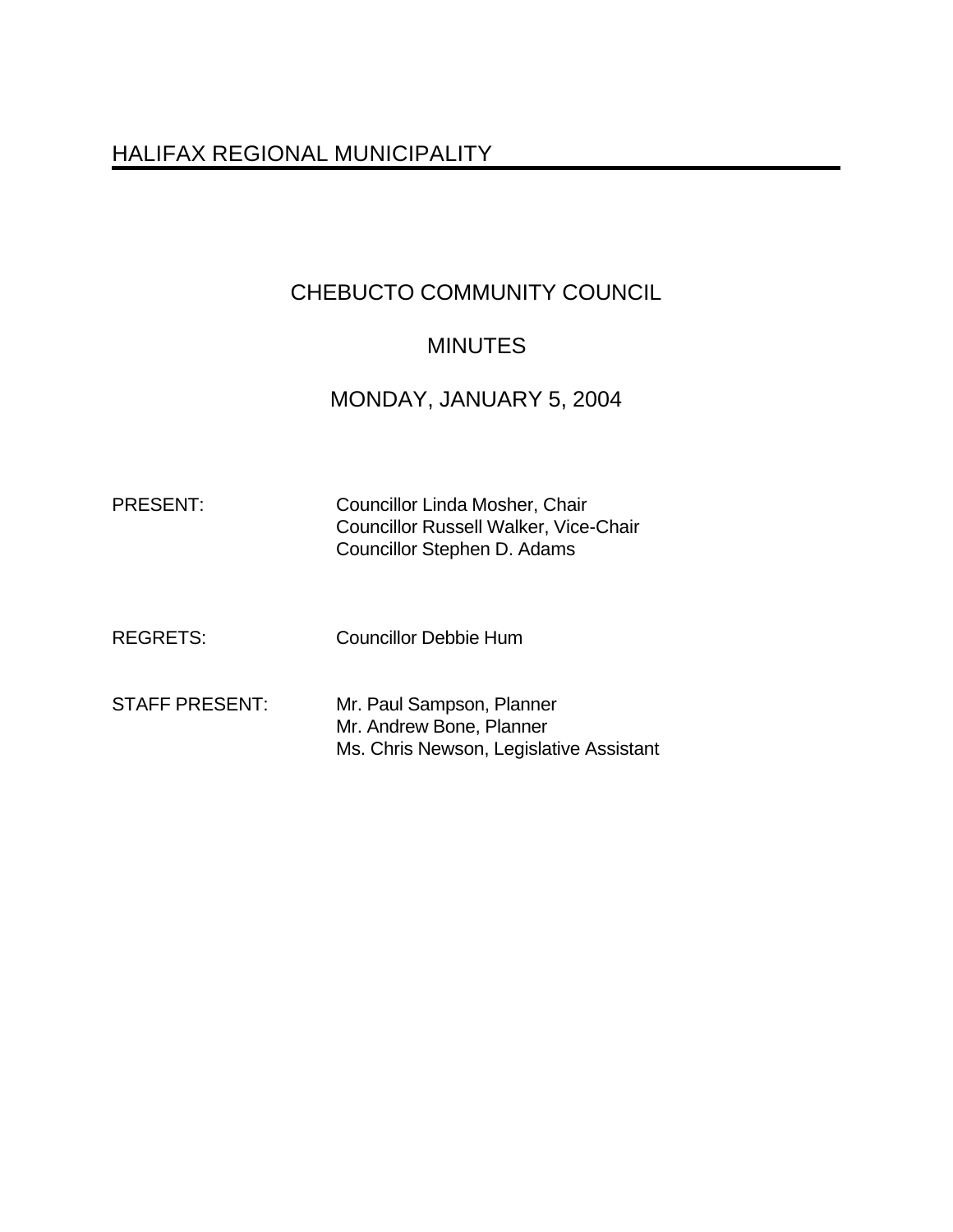# HALIFAX REGIONAL MUNICIPALITY

# CHEBUCTO COMMUNITY COUNCIL

## MINUTES

# MONDAY, JANUARY 5, 2004

| <b>PRESENT</b> |
|----------------|
|----------------|

Councillor Linda Mosher, Chair Councillor Russell Walker, Vice-Chair Councillor Stephen D. Adams

REGRETS: Councillor Debbie Hum

STAFF PRESENT: Mr. Paul Sampson, Planner Mr. Andrew Bone, Planner Ms. Chris Newson, Legislative Assistant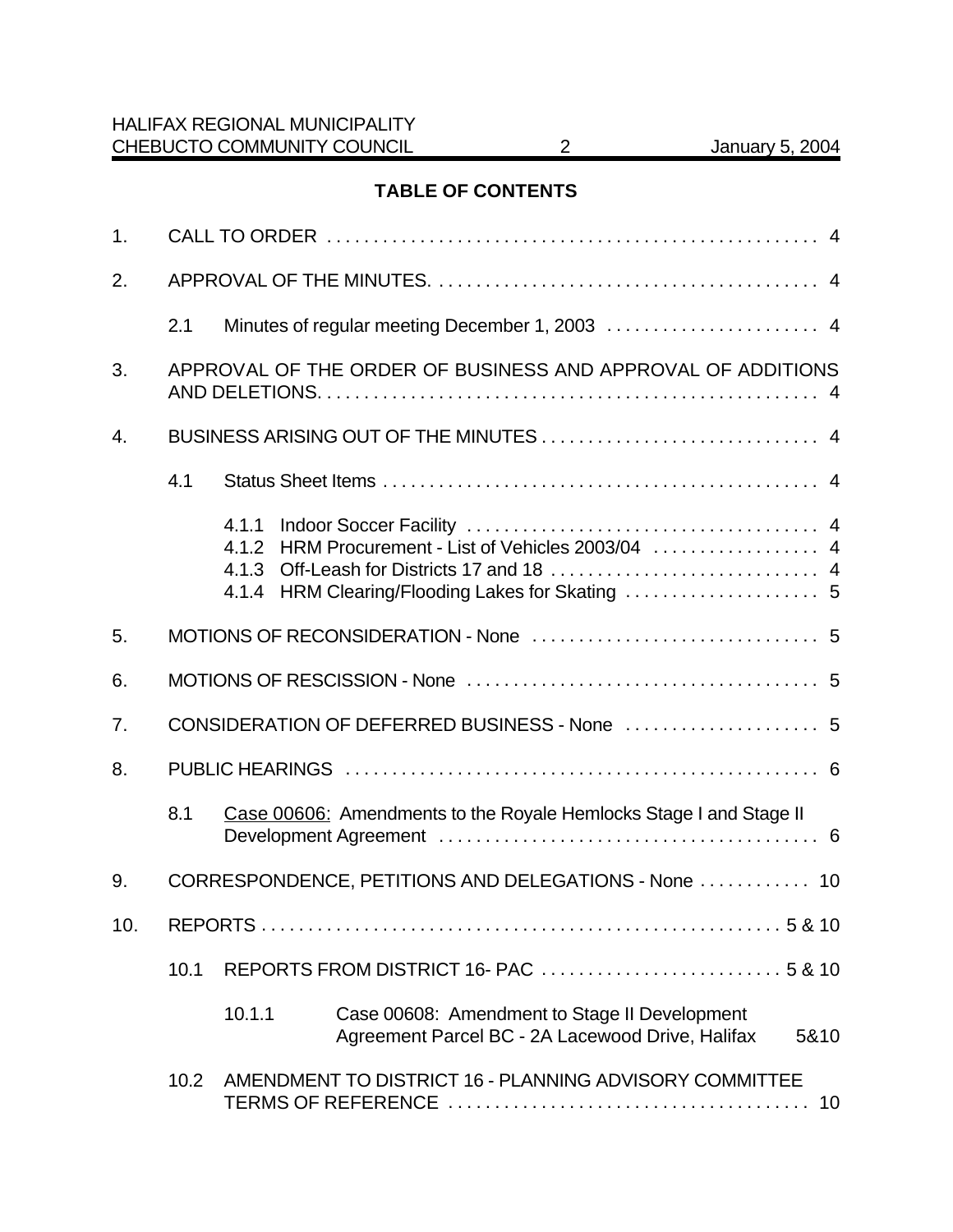## **TABLE OF CONTENTS**

| 1.             |      |                                                             |                                                                                                           |  |  |  |
|----------------|------|-------------------------------------------------------------|-----------------------------------------------------------------------------------------------------------|--|--|--|
| 2.             |      |                                                             |                                                                                                           |  |  |  |
|                | 2.1  | Minutes of regular meeting December 1, 2003  4              |                                                                                                           |  |  |  |
| 3.             |      | APPROVAL OF THE ORDER OF BUSINESS AND APPROVAL OF ADDITIONS |                                                                                                           |  |  |  |
| 4.             |      |                                                             |                                                                                                           |  |  |  |
|                | 4.1  |                                                             |                                                                                                           |  |  |  |
|                |      | 4.1.1<br>4.1.2<br>4.1.3<br>4.1.4                            | HRM Procurement - List of Vehicles 2003/04  4                                                             |  |  |  |
| 5.             |      |                                                             |                                                                                                           |  |  |  |
| 6.             |      |                                                             |                                                                                                           |  |  |  |
| 7 <sub>1</sub> |      |                                                             |                                                                                                           |  |  |  |
| 8.             |      |                                                             |                                                                                                           |  |  |  |
|                | 8.1  |                                                             | Case 00606: Amendments to the Royale Hemlocks Stage I and Stage II                                        |  |  |  |
| 9.             |      | CORRESPONDENCE, PETITIONS AND DELEGATIONS - None  10        |                                                                                                           |  |  |  |
|                |      |                                                             |                                                                                                           |  |  |  |
|                | 10.1 |                                                             |                                                                                                           |  |  |  |
|                |      | 10.1.1                                                      | Case 00608: Amendment to Stage II Development<br>Agreement Parcel BC - 2A Lacewood Drive, Halifax<br>5&10 |  |  |  |
|                | 10.2 |                                                             | AMENDMENT TO DISTRICT 16 - PLANNING ADVISORY COMMITTEE<br>10                                              |  |  |  |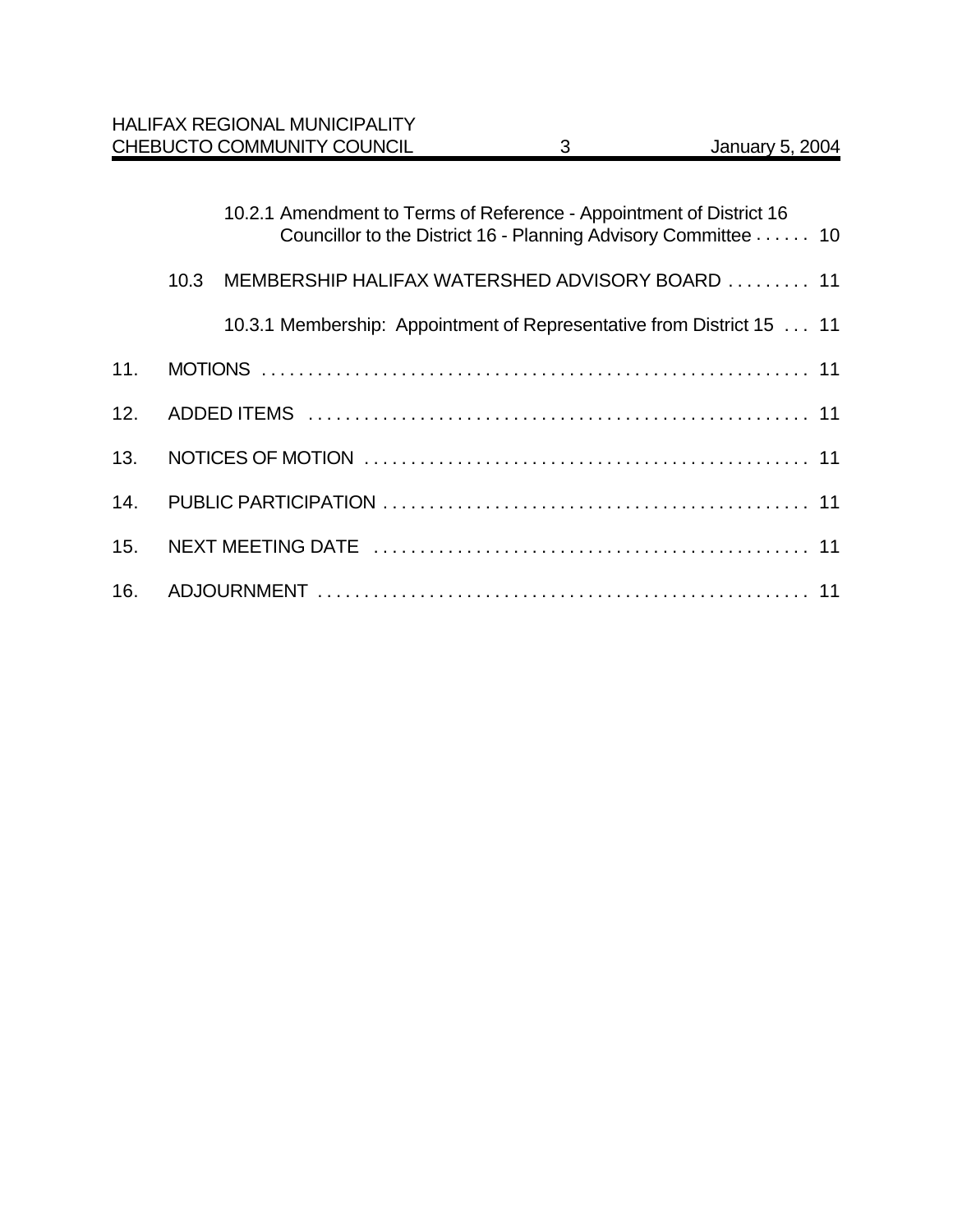|      | 10.2.1 Amendment to Terms of Reference - Appointment of District 16<br>Councillor to the District 16 - Planning Advisory Committee 10 |  |
|------|---------------------------------------------------------------------------------------------------------------------------------------|--|
| 10.3 | MEMBERSHIP HALIFAX WATERSHED ADVISORY BOARD  11                                                                                       |  |
|      | 10.3.1 Membership: Appointment of Representative from District 15  11                                                                 |  |
|      |                                                                                                                                       |  |
|      |                                                                                                                                       |  |
|      |                                                                                                                                       |  |
|      |                                                                                                                                       |  |
|      |                                                                                                                                       |  |
|      |                                                                                                                                       |  |
|      |                                                                                                                                       |  |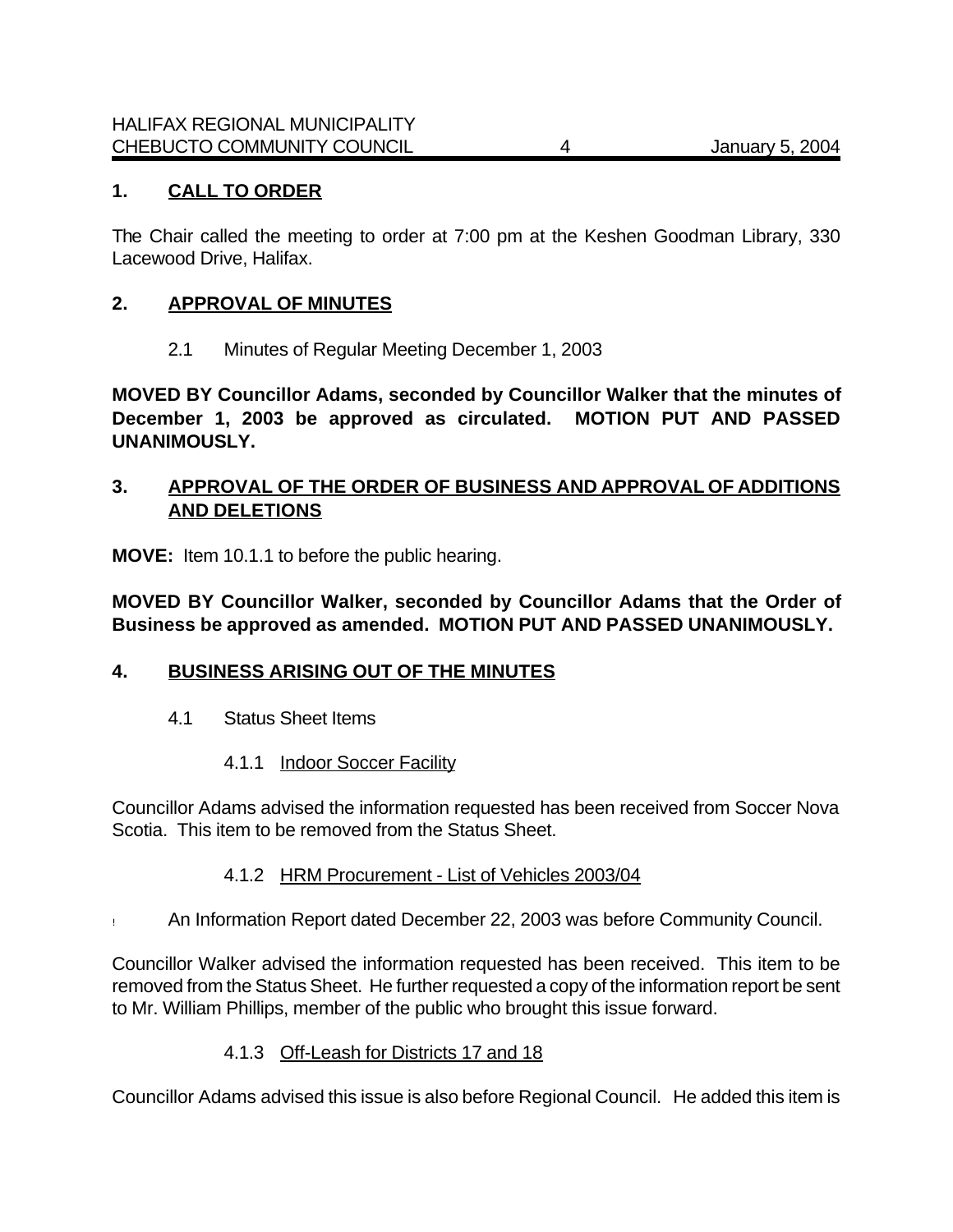### **1. CALL TO ORDER**

The Chair called the meeting to order at 7:00 pm at the Keshen Goodman Library, 330 Lacewood Drive, Halifax.

#### **2. APPROVAL OF MINUTES**

2.1 Minutes of Regular Meeting December 1, 2003

**MOVED BY Councillor Adams, seconded by Councillor Walker that the minutes of December 1, 2003 be approved as circulated. MOTION PUT AND PASSED UNANIMOUSLY.**

### **3. APPROVAL OF THE ORDER OF BUSINESS AND APPROVAL OF ADDITIONS AND DELETIONS**

**MOVE:**Item 10.1.1 to before the public hearing.

**MOVED BY Councillor Walker, seconded by Councillor Adams that the Order of Business be approved as amended. MOTION PUT AND PASSED UNANIMOUSLY.**

### **4. BUSINESS ARISING OUT OF THE MINUTES**

- 4.1 Status Sheet Items
	- 4.1.1 Indoor Soccer Facility

Councillor Adams advised the information requested has been received from Soccer Nova Scotia. This item to be removed from the Status Sheet.

- 4.1.2 HRM Procurement List of Vehicles 2003/04
- ! An Information Report dated December 22, 2003 was before Community Council.

Councillor Walker advised the information requested has been received. This item to be removed from the Status Sheet. He further requested a copy of the information report be sent to Mr. William Phillips, member of the public who brought this issue forward.

### 4.1.3 Off-Leash for Districts 17 and 18

Councillor Adams advised this issue is also before Regional Council. He added this item is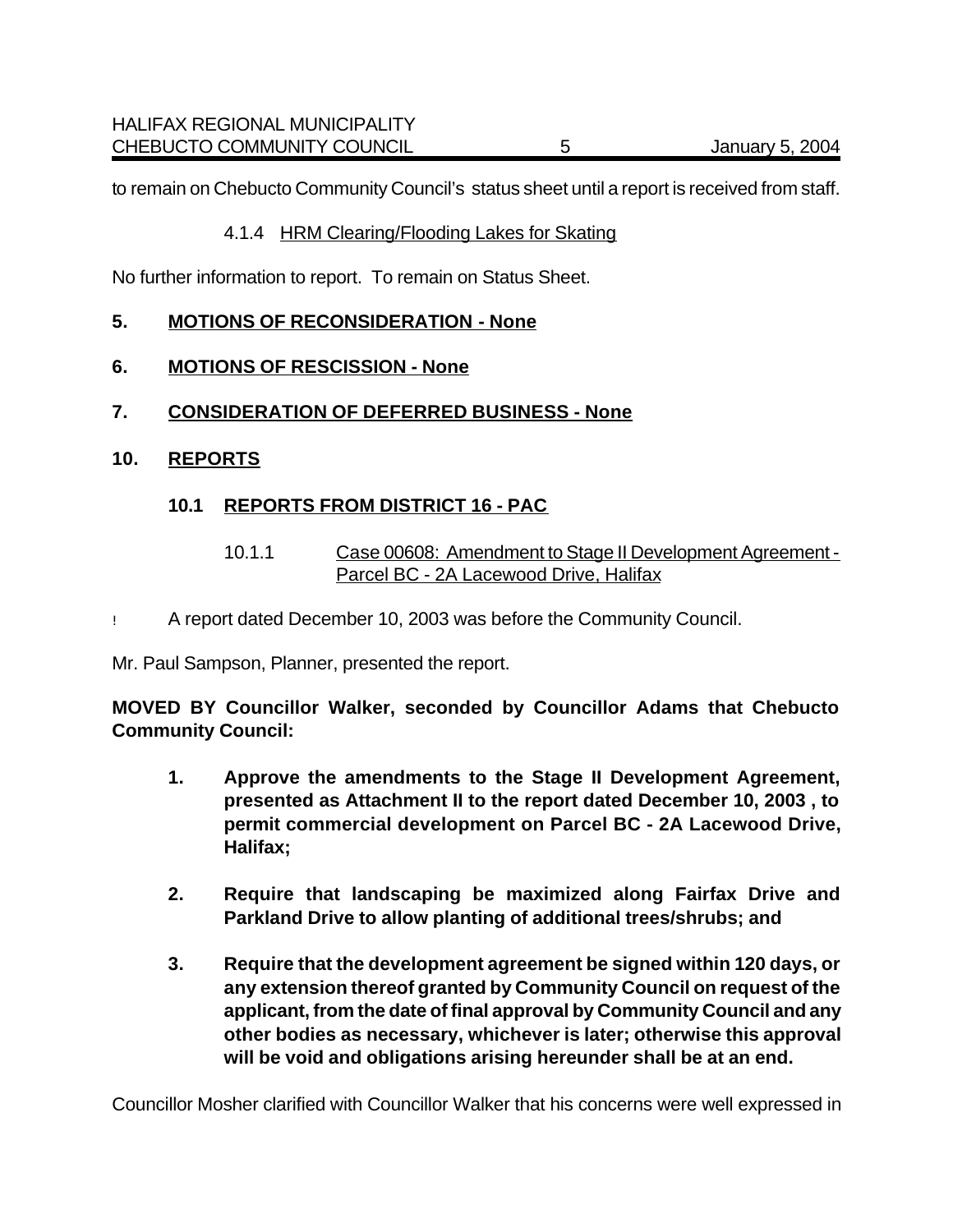to remain on Chebucto Community Council's status sheet until a report is received from staff.

#### 4.1.4 HRM Clearing/Flooding Lakes for Skating

No further information to report. To remain on Status Sheet.

#### **5. MOTIONS OF RECONSIDERATION - None**

- **6. MOTIONS OF RESCISSION None**
- **7. CONSIDERATION OF DEFERRED BUSINESS None**
- **10. REPORTS**

#### **10.1 REPORTS FROM DISTRICT 16 - PAC**

- 10.1.1 Case 00608: Amendment to Stage II Development Agreement Parcel BC - 2A Lacewood Drive, Halifax
- ! A report dated December 10, 2003 was before the Community Council.

Mr. Paul Sampson, Planner, presented the report.

**MOVED BY Councillor Walker, seconded by Councillor Adams that Chebucto Community Council:**

- **1. Approve the amendments to the Stage II Development Agreement, presented as Attachment II to the report dated December 10, 2003 , to permit commercial development on Parcel BC - 2A Lacewood Drive, Halifax;**
- **2. Require that landscaping be maximized along Fairfax Drive and Parkland Drive to allow planting of additional trees/shrubs; and**
- **3. Require that the development agreement be signed within 120 days, or any extension thereof granted by Community Council on request of the applicant, from the date of final approval by Community Council and any other bodies as necessary, whichever is later; otherwise this approval will be void and obligations arising hereunder shall be at an end.**

Councillor Mosher clarified with Councillor Walker that his concerns were well expressed in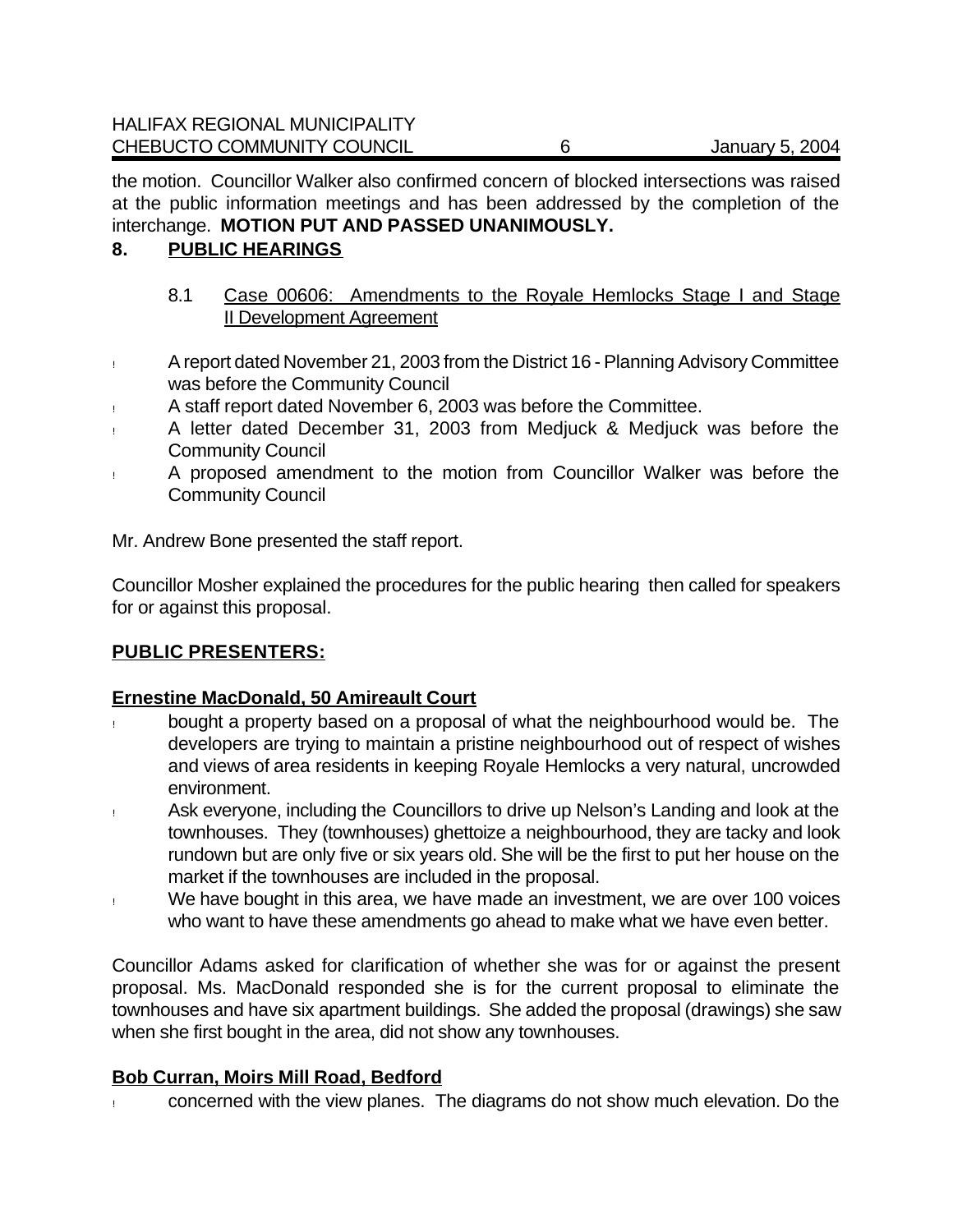the motion. Councillor Walker also confirmed concern of blocked intersections was raised at the public information meetings and has been addressed by the completion of the interchange. **MOTION PUT AND PASSED UNANIMOUSLY.**

### **8. PUBLIC HEARINGS**

- 8.1 Case 00606: Amendments to the Royale Hemlocks Stage I and Stage II Development Agreement
- ! A report dated November 21, 2003 from the District 16 Planning Advisory Committee was before the Community Council
- ! A staff report dated November 6, 2003 was before the Committee.
- ! A letter dated December 31, 2003 from Medjuck & Medjuck was before the Community Council
- ! A proposed amendment to the motion from Councillor Walker was before the Community Council

Mr. Andrew Bone presented the staff report.

Councillor Mosher explained the procedures for the public hearing then called for speakers for or against this proposal.

## **PUBLIC PRESENTERS:**

## **Ernestine MacDonald, 50 Amireault Court**

- bought a property based on a proposal of what the neighbourhood would be. The developers are trying to maintain a pristine neighbourhood out of respect of wishes and views of area residents in keeping Royale Hemlocks a very natural, uncrowded environment.
- ! Ask everyone, including the Councillors to drive up Nelson's Landing and look at the townhouses. They (townhouses) ghettoize a neighbourhood, they are tacky and look rundown but are only five or six years old. She will be the first to put her house on the market if the townhouses are included in the proposal.
- ! We have bought in this area, we have made an investment, we are over 100 voices who want to have these amendments go ahead to make what we have even better.

Councillor Adams asked for clarification of whether she was for or against the present proposal. Ms. MacDonald responded she is for the current proposal to eliminate the townhouses and have six apartment buildings. She added the proposal (drawings) she saw when she first bought in the area, did not show any townhouses.

## **Bob Curran, Moirs Mill Road, Bedford**

! concerned with the view planes. The diagrams do not show much elevation. Do the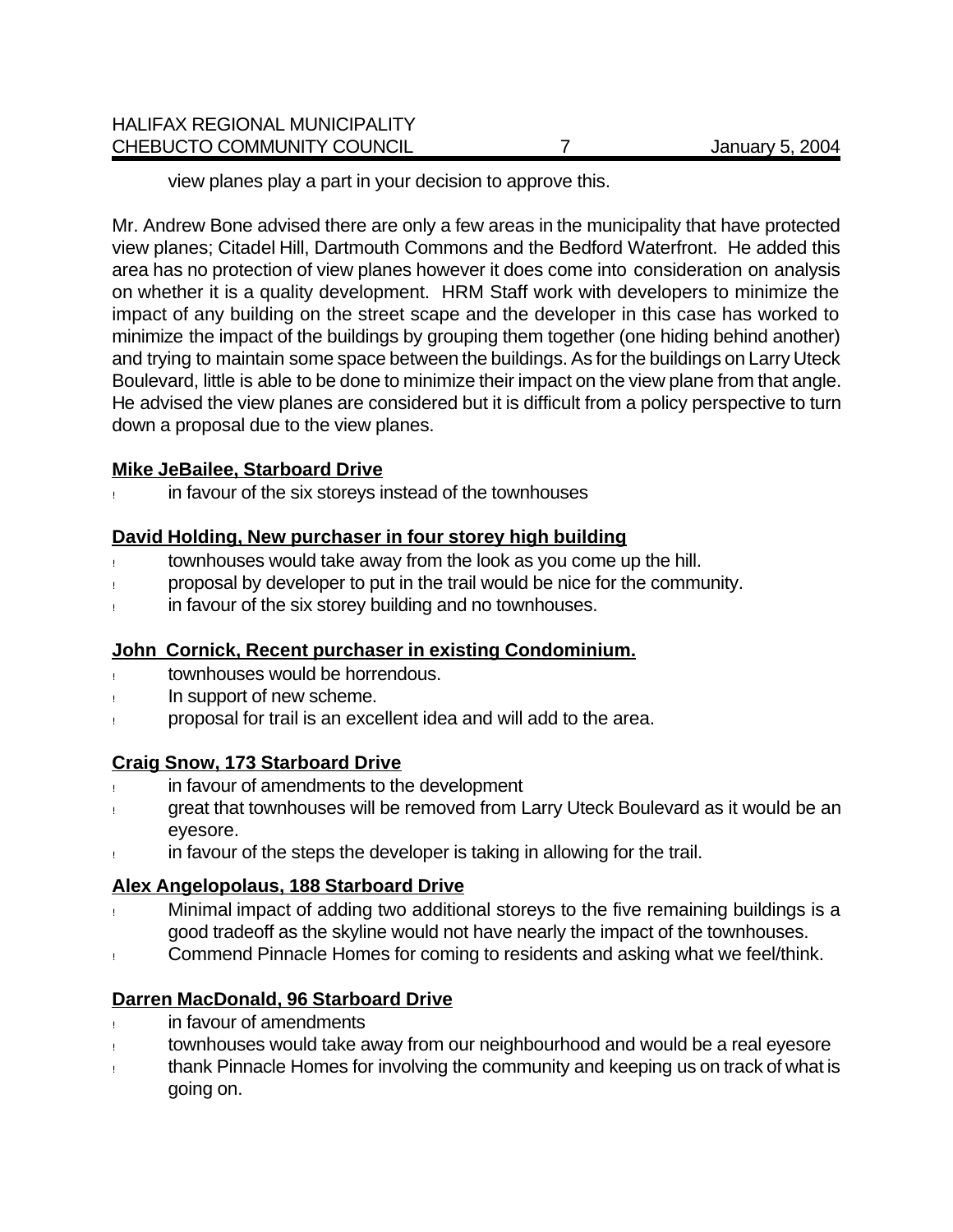view planes play a part in your decision to approve this.

Mr. Andrew Bone advised there are only a few areas in the municipality that have protected view planes; Citadel Hill, Dartmouth Commons and the Bedford Waterfront. He added this area has no protection of view planes however it does come into consideration on analysis on whether it is a quality development. HRM Staff work with developers to minimize the impact of any building on the street scape and the developer in this case has worked to minimize the impact of the buildings by grouping them together (one hiding behind another) and trying to maintain some space between the buildings. As for the buildings on Larry Uteck Boulevard, little is able to be done to minimize their impact on the view plane from that angle. He advised the view planes are considered but it is difficult from a policy perspective to turn down a proposal due to the view planes.

### **Mike JeBailee, Starboard Drive**

! in favour of the six storeys instead of the townhouses

### **David Holding, New purchaser in four storey high building**

- ! townhouses would take away from the look as you come up the hill.
- ! proposal by developer to put in the trail would be nice for the community.
- in favour of the six storey building and no townhouses.

## **John Cornick, Recent purchaser in existing Condominium.**

- townhouses would be horrendous.
- In support of new scheme.
- ! proposal for trail is an excellent idea and will add to the area.

## **Craig Snow, 173 Starboard Drive**

- ! in favour of amendments to the development
- ! great that townhouses will be removed from Larry Uteck Boulevard as it would be an eyesore.
- in favour of the steps the developer is taking in allowing for the trail.

## **Alex Angelopolaus, 188 Starboard Drive**

- ! Minimal impact of adding two additional storeys to the five remaining buildings is a good tradeoff as the skyline would not have nearly the impact of the townhouses.
- ! Commend Pinnacle Homes for coming to residents and asking what we feel/think.

## **Darren MacDonald, 96 Starboard Drive**

- in favour of amendments
- ! townhouses would take away from our neighbourhood and would be a real eyesore
- ! thank Pinnacle Homes for involving the community and keeping us on track of what is going on.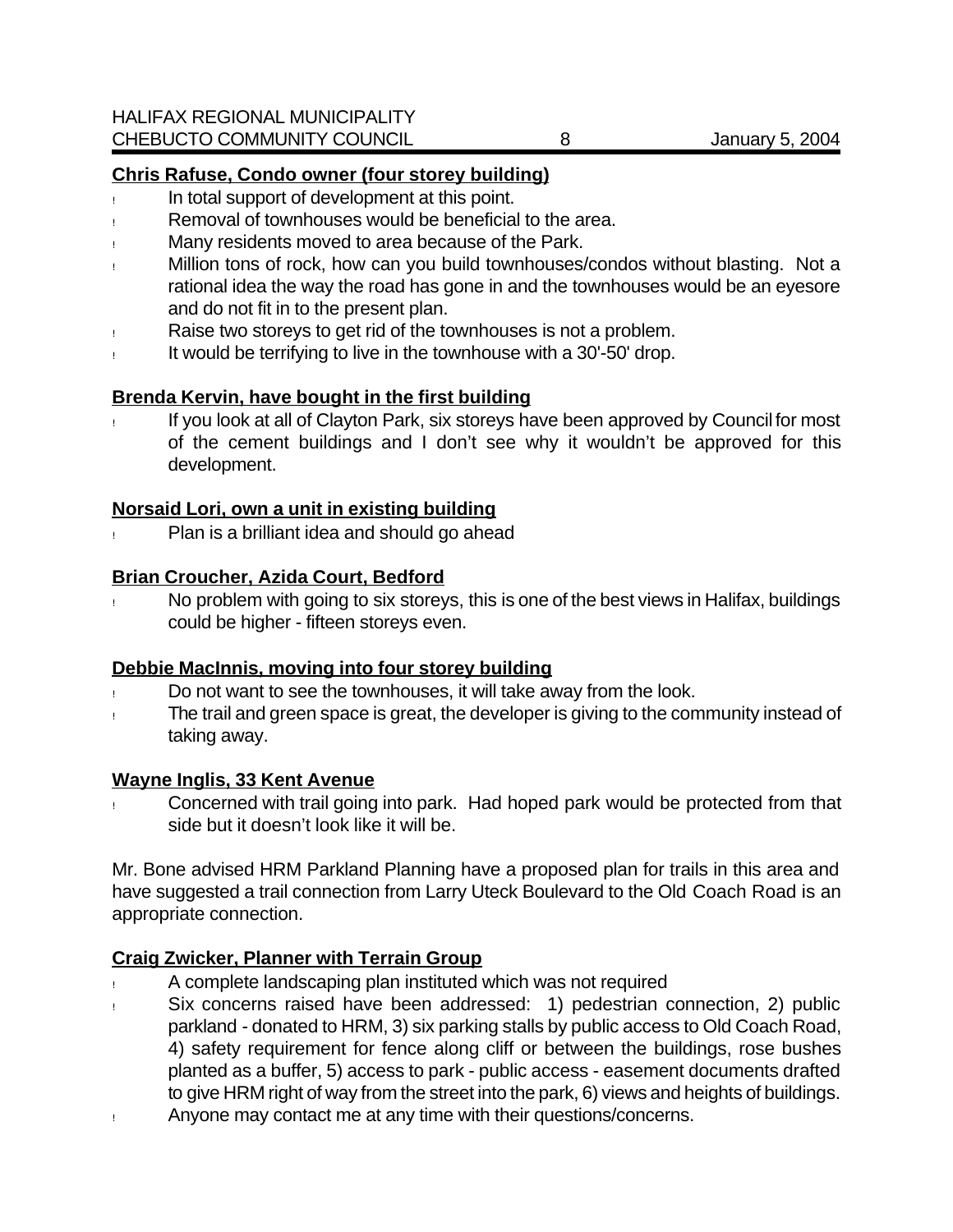## **Chris Rafuse, Condo owner (four storey building)**

- ! In total support of development at this point.
- Removal of townhouses would be beneficial to the area.
- ! Many residents moved to area because of the Park.
- ! Million tons of rock, how can you build townhouses/condos without blasting. Not a rational idea the way the road has gone in and the townhouses would be an eyesore and do not fit in to the present plan.
- ! Raise two storeys to get rid of the townhouses is not a problem.
- ! It would be terrifying to live in the townhouse with a 30'-50' drop.

## **Brenda Kervin, have bought in the first building**

If you look at all of Clayton Park, six storeys have been approved by Council for most of the cement buildings and I don't see why it wouldn't be approved for this development.

### **Norsaid Lori, own a unit in existing building**

! Plan is a brilliant idea and should go ahead

### **Brian Croucher, Azida Court, Bedford**

! No problem with going to six storeys, this is one of the best views in Halifax, buildings could be higher - fifteen storeys even.

### **Debbie MacInnis, moving into four storey building**

- ! Do not want to see the townhouses, it will take away from the look.
- The trail and green space is great, the developer is giving to the community instead of taking away.

### **Wayne Inglis, 33 Kent Avenue**

! Concerned with trail going into park. Had hoped park would be protected from that side but it doesn't look like it will be.

Mr. Bone advised HRM Parkland Planning have a proposed plan for trails in this area and have suggested a trail connection from Larry Uteck Boulevard to the Old Coach Road is an appropriate connection.

## **Craig Zwicker, Planner with Terrain Group**

- ! A complete landscaping plan instituted which was not required
- ! Six concerns raised have been addressed: 1) pedestrian connection, 2) public parkland - donated to HRM, 3) six parking stalls by public access to Old Coach Road, 4) safety requirement for fence along cliff or between the buildings, rose bushes planted as a buffer, 5) access to park - public access - easement documents drafted to give HRM right of way from the street into the park, 6) views and heights of buildings.
- ! Anyone may contact me at any time with their questions/concerns.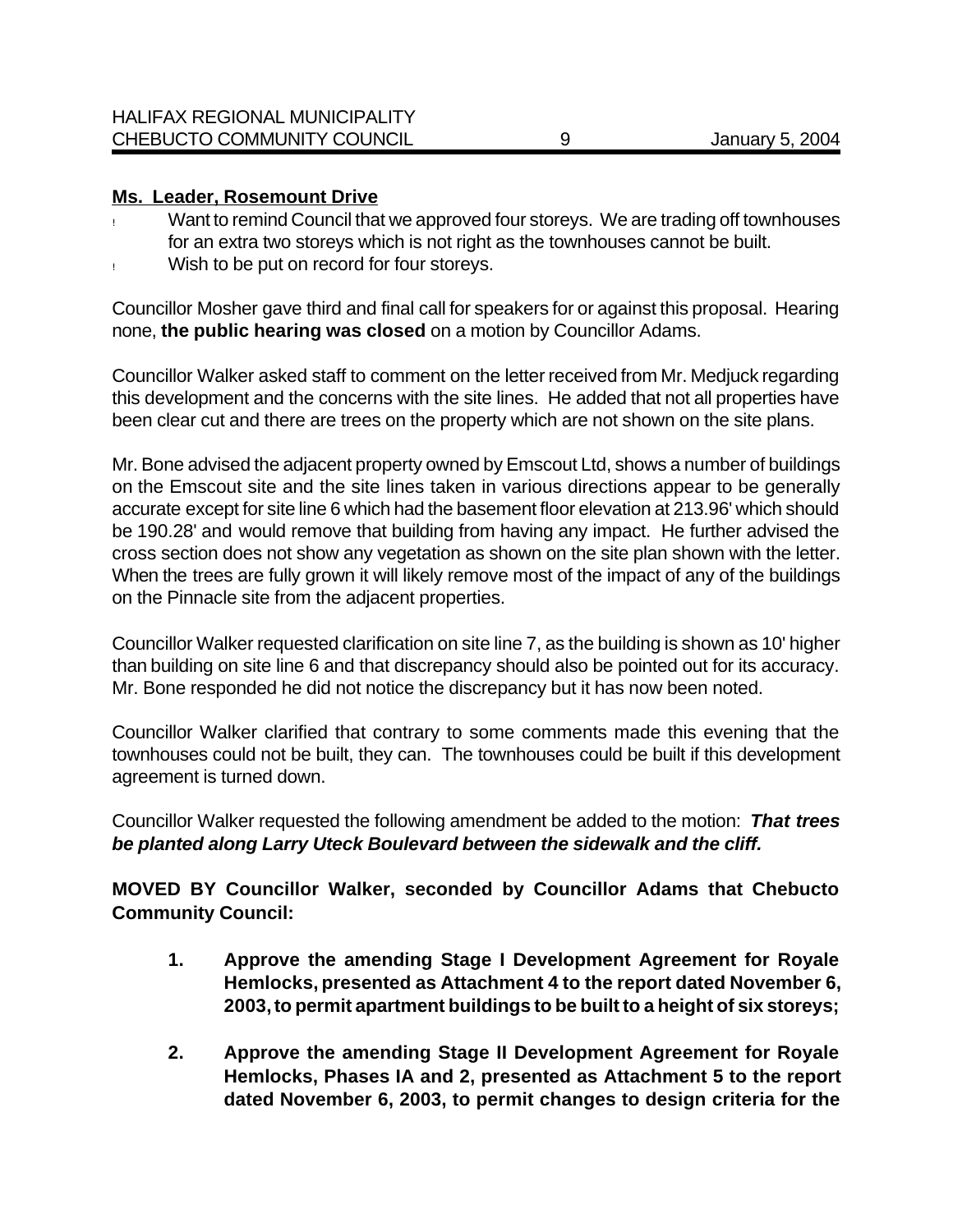### **Ms. Leader, Rosemount Drive**

- Want to remind Council that we approved four storeys. We are trading off townhouses for an extra two storeys which is not right as the townhouses cannot be built.
- ! Wish to be put on record for four storeys.

Councillor Mosher gave third and final call for speakers for or against this proposal. Hearing none, **the public hearing was closed** on a motion by Councillor Adams.

Councillor Walker asked staff to comment on the letter received from Mr. Medjuck regarding this development and the concerns with the site lines. He added that not all properties have been clear cut and there are trees on the property which are not shown on the site plans.

Mr. Bone advised the adjacent property owned by Emscout Ltd, shows a number of buildings on the Emscout site and the site lines taken in various directions appear to be generally accurate except for site line 6 which had the basement floor elevation at 213.96' which should be 190.28' and would remove that building from having any impact. He further advised the cross section does not show any vegetation as shown on the site plan shown with the letter. When the trees are fully grown it will likely remove most of the impact of any of the buildings on the Pinnacle site from the adjacent properties.

Councillor Walker requested clarification on site line 7, as the building is shown as 10' higher than building on site line 6 and that discrepancy should also be pointed out for its accuracy. Mr. Bone responded he did not notice the discrepancy but it has now been noted.

Councillor Walker clarified that contrary to some comments made this evening that the townhouses could not be built, they can. The townhouses could be built if this development agreement is turned down.

Councillor Walker requested the following amendment be added to the motion:*That trees be planted along Larry Uteck Boulevard between the sidewalk and the cliff.*

**MOVED BY Councillor Walker, seconded by Councillor Adams that Chebucto Community Council:**

- **1. Approve the amending Stage I Development Agreement for Royale Hemlocks, presented as Attachment 4 to the report dated November 6, 2003, to permit apartment buildings to be built to a height of six storeys;**
- **2. Approve the amending Stage II Development Agreement for Royale Hemlocks, Phases IA and 2, presented as Attachment 5 to the report dated November 6, 2003, to permit changes to design criteria for the**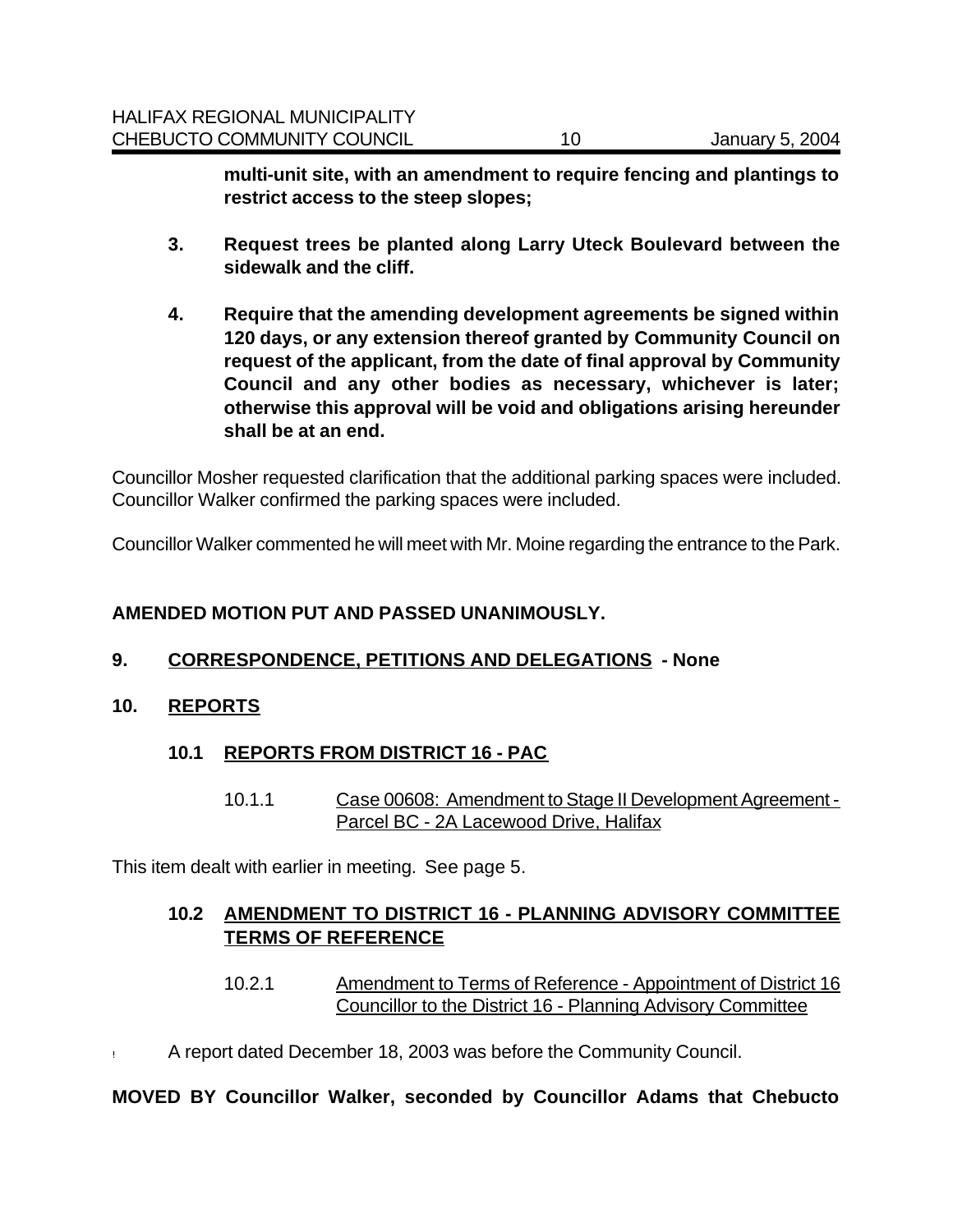**multi-unit site, with an amendment to require fencing and plantings to restrict access to the steep slopes;**

- **3. Request trees be planted along Larry Uteck Boulevard between the sidewalk and the cliff.**
- **4. Require that the amending development agreements be signed within 120 days, or any extension thereof granted by Community Council on request of the applicant, from the date of final approval by Community Council and any other bodies as necessary, whichever is later; otherwise this approval will be void and obligations arising hereunder shall be at an end.**

Councillor Mosher requested clarification that the additional parking spaces were included. Councillor Walker confirmed the parking spaces were included.

Councillor Walker commented he will meet with Mr. Moine regarding the entrance to the Park.

### **AMENDED MOTION PUT AND PASSED UNANIMOUSLY.**

### **9. CORRESPONDENCE, PETITIONS AND DELEGATIONS - None**

### **10. REPORTS**

### **10.1 REPORTS FROM DISTRICT 16 - PAC**

10.1.1 Case 00608: Amendment to Stage II Development Agreement - Parcel BC - 2A Lacewood Drive, Halifax

This item dealt with earlier in meeting.See page 5.

### **10.2 AMENDMENT TO DISTRICT 16 - PLANNING ADVISORY COMMITTEE TERMS OF REFERENCE**

- 10.2.1 Amendment to Terms of Reference Appointment of District 16 Councillor to the District 16 - Planning Advisory Committee
- ! A report dated December 18, 2003 was before the Community Council.

### **MOVED BY Councillor Walker, seconded by Councillor Adams that Chebucto**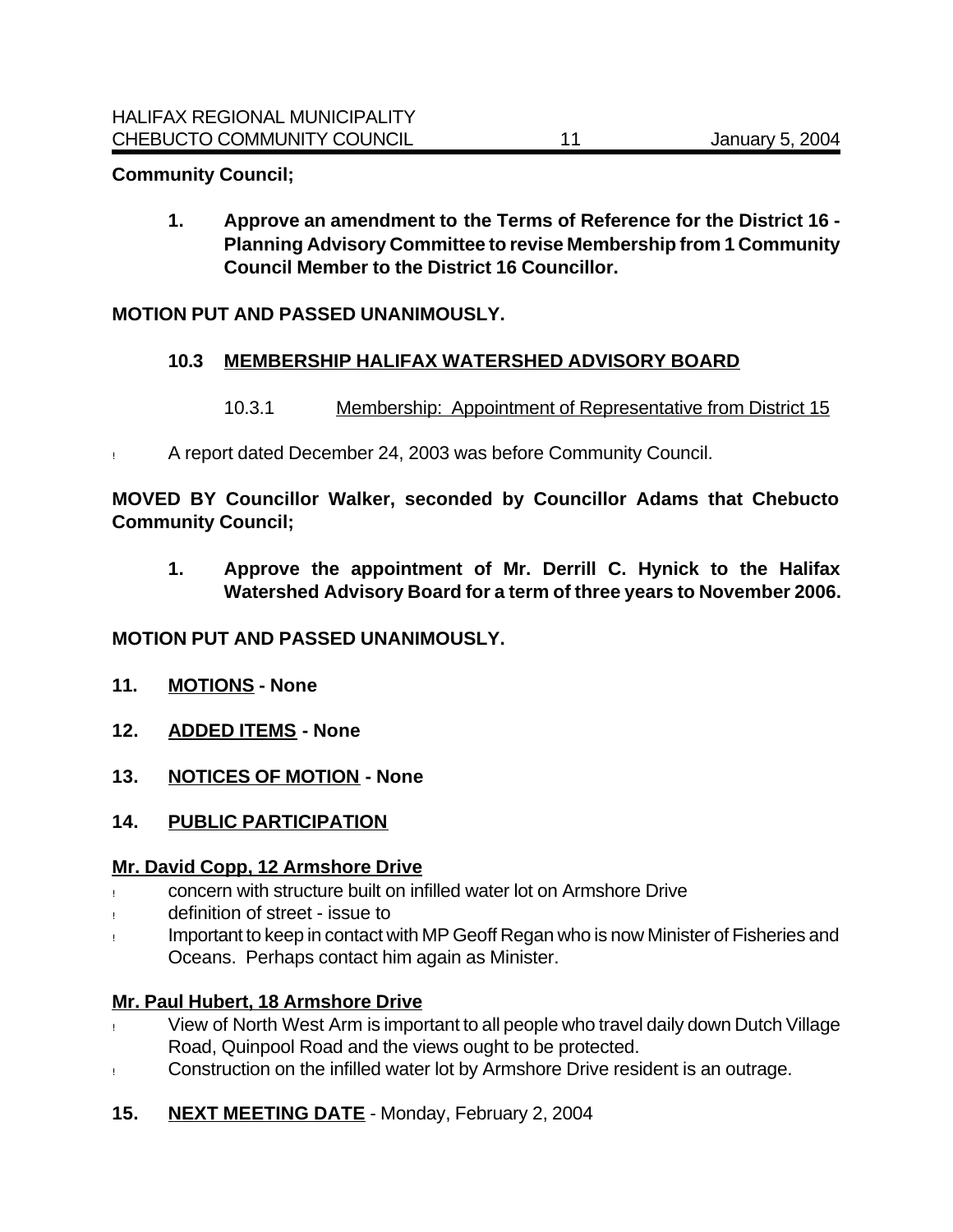### **Community Council;**

**1. Approve an amendment to the Terms of Reference for the District 16 - Planning Advisory Committee to revise Membership from 1 Community Council Member to the District 16 Councillor.**

### **MOTION PUT AND PASSED UNANIMOUSLY.**

#### **10.3 MEMBERSHIP HALIFAX WATERSHED ADVISORY BOARD**

- 10.3.1 Membership: Appointment of Representative from District 15
- ! A report dated December 24, 2003 was before Community Council.

**MOVED BY Councillor Walker, seconded by Councillor Adams that Chebucto Community Council;**

**1. Approve the appointment of Mr. Derrill C. Hynick to the Halifax Watershed Advisory Board for a term of three years to November 2006.**

#### **MOTION PUT AND PASSED UNANIMOUSLY.**

- **11. MOTIONS None**
- **12. ADDED ITEMS None**
- **13. NOTICES OF MOTION None**
- **14. PUBLIC PARTICIPATION**

#### **Mr. David Copp, 12 Armshore Drive**

- ! concern with structure built on infilled water lot on Armshore Drive
- definition of street issue to
- Important to keep in contact with MP Geoff Regan who is now Minister of Fisheries and Oceans. Perhaps contact him again as Minister.

#### **Mr. Paul Hubert, 18 Armshore Drive**

- ! View of North West Arm is important to all people who travel daily down Dutch Village Road, Quinpool Road and the views ought to be protected.
- ! Construction on the infilled water lot by Armshore Drive resident is an outrage.
- **15. NEXT MEETING DATE** Monday, February 2, 2004